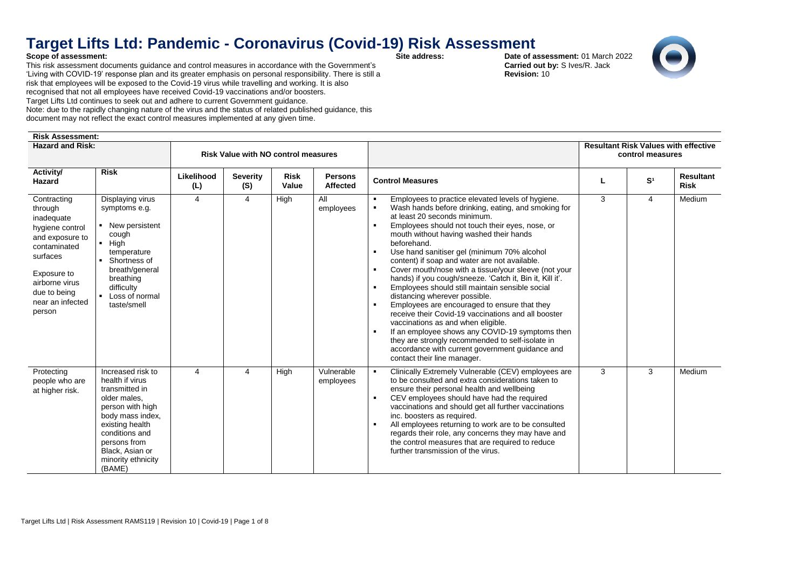## **Target Lifts Ltd: Pandemic - Coronavirus (Covid-19) Risk Assessment**<br>Scope of assessment:<br>Date of as

## **Scope of assessment:**

This risk assessment documents guidance and control measures in accordance with the Government's 'Living with COVID-19' response plan and its greater emphasis on personal responsibility. There is still a risk that employees will be exposed to the Covid-19 virus while travelling and working. It is also recognised that not all employees have received Covid-19 vaccinations and/or boosters. Target Lifts Ltd continues to seek out and adhere to current Government guidance. Note: due to the rapidly changing nature of the virus and the status of related published guidance, this

document may not reflect the exact control measures implemented at any given time.

## **Risk Assessment:**

**Date of assessment:** 01 March 2022  **Carried out by:** S Ives/R. Jack  **Revision:** 10



| <b>Hazard and Risk:</b>                                                                                                                                                               |                                                                                                                                                                                                                        |                   | <b>Risk Value with NO control measures</b> |                      |                            |                                                                                                                                                                                                                                                                                                                                                                                                                                                                                                                                                                                                                                                                                                                                                                                                                                                                                                                       | <b>Resultant Risk Values with effective</b><br>control measures |                |                          |  |
|---------------------------------------------------------------------------------------------------------------------------------------------------------------------------------------|------------------------------------------------------------------------------------------------------------------------------------------------------------------------------------------------------------------------|-------------------|--------------------------------------------|----------------------|----------------------------|-----------------------------------------------------------------------------------------------------------------------------------------------------------------------------------------------------------------------------------------------------------------------------------------------------------------------------------------------------------------------------------------------------------------------------------------------------------------------------------------------------------------------------------------------------------------------------------------------------------------------------------------------------------------------------------------------------------------------------------------------------------------------------------------------------------------------------------------------------------------------------------------------------------------------|-----------------------------------------------------------------|----------------|--------------------------|--|
| <b>Activity/</b><br>Hazard                                                                                                                                                            | <b>Risk</b>                                                                                                                                                                                                            | Likelihood<br>(L) | <b>Severity</b><br>(S)                     | <b>Risk</b><br>Value | <b>Persons</b><br>Affected | <b>Control Measures</b>                                                                                                                                                                                                                                                                                                                                                                                                                                                                                                                                                                                                                                                                                                                                                                                                                                                                                               |                                                                 | S <sup>1</sup> | Resultant<br><b>Risk</b> |  |
| Contracting<br>through<br>inadequate<br>hygiene control<br>and exposure to<br>contaminated<br>surfaces<br>Exposure to<br>airborne virus<br>due to being<br>near an infected<br>person | Displaying virus<br>symptoms e.g.<br>• New persistent<br>cough<br>$-High$<br>temperature<br>• Shortness of<br>breath/general<br>breathing<br>difficulty<br>• Loss of normal<br>taste/smell                             | 4                 | 4                                          | High                 | All<br>employees           | Employees to practice elevated levels of hygiene.<br>Wash hands before drinking, eating, and smoking for<br>at least 20 seconds minimum.<br>Employees should not touch their eyes, nose, or<br>$\blacksquare$<br>mouth without having washed their hands<br>beforehand.<br>Use hand sanitiser gel (minimum 70% alcohol<br>content) if soap and water are not available.<br>Cover mouth/nose with a tissue/your sleeve (not your<br>hands) if you cough/sneeze. 'Catch it, Bin it, Kill it'.<br>Employees should still maintain sensible social<br>distancing wherever possible.<br>Employees are encouraged to ensure that they<br>receive their Covid-19 vaccinations and all booster<br>vaccinations as and when eligible.<br>If an employee shows any COVID-19 symptoms then<br>they are strongly recommended to self-isolate in<br>accordance with current government guidance and<br>contact their line manager. | 3                                                               | 4              | Medium                   |  |
| Protecting<br>people who are<br>at higher risk.                                                                                                                                       | Increased risk to<br>health if virus<br>transmitted in<br>older males,<br>person with high<br>body mass index,<br>existing health<br>conditions and<br>persons from<br>Black, Asian or<br>minority ethnicity<br>(BAME) | 4                 | 4                                          | High                 | Vulnerable<br>employees    | Clinically Extremely Vulnerable (CEV) employees are<br>to be consulted and extra considerations taken to<br>ensure their personal health and wellbeing<br>CEV employees should have had the required<br>vaccinations and should get all further vaccinations<br>inc. boosters as required.<br>All employees returning to work are to be consulted<br>regards their role, any concerns they may have and<br>the control measures that are required to reduce<br>further transmission of the virus.                                                                                                                                                                                                                                                                                                                                                                                                                     | 3                                                               | 3              | Medium                   |  |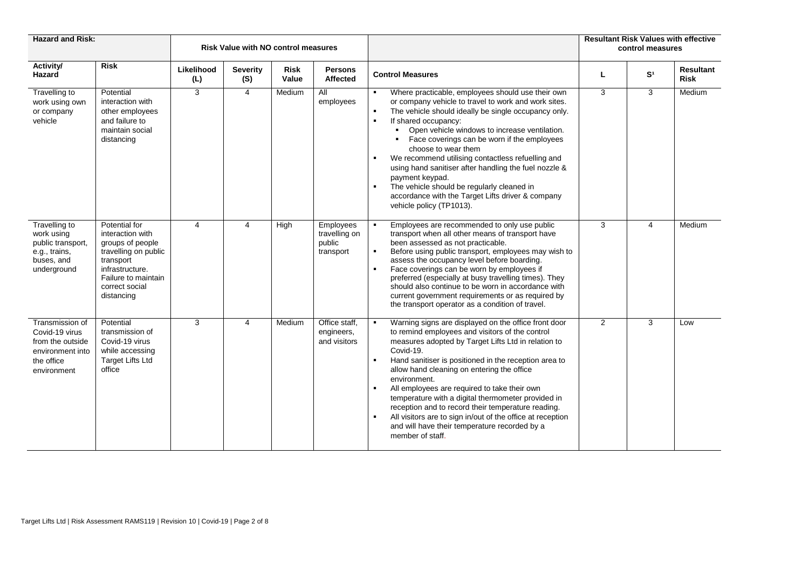| <b>Hazard and Risk:</b>                                                                                |                                                                                                                                                                      |                   | <b>Risk Value with NO control measures</b> |                      |                                                   |                                                                                                                                                                                                                                                                                                                                                                                                                                                                                                                                                                                                                                       | <b>Resultant Risk Values with effective</b><br>control measures |                |                                 |  |
|--------------------------------------------------------------------------------------------------------|----------------------------------------------------------------------------------------------------------------------------------------------------------------------|-------------------|--------------------------------------------|----------------------|---------------------------------------------------|---------------------------------------------------------------------------------------------------------------------------------------------------------------------------------------------------------------------------------------------------------------------------------------------------------------------------------------------------------------------------------------------------------------------------------------------------------------------------------------------------------------------------------------------------------------------------------------------------------------------------------------|-----------------------------------------------------------------|----------------|---------------------------------|--|
| Activity/<br><b>Hazard</b>                                                                             | <b>Risk</b>                                                                                                                                                          | Likelihood<br>(L) | <b>Severity</b><br>(S)                     | <b>Risk</b><br>Value | <b>Persons</b><br>Affected                        | <b>Control Measures</b>                                                                                                                                                                                                                                                                                                                                                                                                                                                                                                                                                                                                               | L                                                               | S <sup>1</sup> | <b>Resultant</b><br><b>Risk</b> |  |
| Travelling to<br>work using own<br>or company<br>vehicle                                               | Potential<br>interaction with<br>other employees<br>and failure to<br>maintain social<br>distancing                                                                  | 3                 | $\overline{4}$                             | Medium               | All<br>employees                                  | Where practicable, employees should use their own<br>or company vehicle to travel to work and work sites.<br>The vehicle should ideally be single occupancy only.<br>$\blacksquare$<br>If shared occupancy:<br>Open vehicle windows to increase ventilation.<br>Face coverings can be worn if the employees<br>choose to wear them<br>We recommend utilising contactless refuelling and<br>using hand sanitiser after handling the fuel nozzle &<br>payment keypad.<br>The vehicle should be regularly cleaned in<br>accordance with the Target Lifts driver & company<br>vehicle policy (TP1013).                                    | 3                                                               | 3              | Medium                          |  |
| <b>Travelling to</b><br>work using<br>public transport,<br>e.g., trains,<br>buses, and<br>underground  | Potential for<br>interaction with<br>groups of people<br>travelling on public<br>transport<br>infrastructure.<br>Failure to maintain<br>correct social<br>distancing | $\overline{4}$    | 4                                          | High                 | Employees<br>travelling on<br>public<br>transport | Employees are recommended to only use public<br>$\blacksquare$<br>transport when all other means of transport have<br>been assessed as not practicable.<br>Before using public transport, employees may wish to<br>assess the occupancy level before boarding.<br>Face coverings can be worn by employees if<br>preferred (especially at busy travelling times). They<br>should also continue to be worn in accordance with<br>current government requirements or as required by<br>the transport operator as a condition of travel.                                                                                                  | 3                                                               | 4              | Medium                          |  |
| Transmission of<br>Covid-19 virus<br>from the outside<br>environment into<br>the office<br>environment | Potential<br>transmission of<br>Covid-19 virus<br>while accessing<br><b>Target Lifts Ltd</b><br>office                                                               | 3                 | $\overline{4}$                             | Medium               | Office staff.<br>engineers,<br>and visitors       | Warning signs are displayed on the office front door<br>to remind employees and visitors of the control<br>measures adopted by Target Lifts Ltd in relation to<br>Covid-19.<br>Hand sanitiser is positioned in the reception area to<br>$\blacksquare$<br>allow hand cleaning on entering the office<br>environment.<br>All employees are required to take their own<br>$\blacksquare$<br>temperature with a digital thermometer provided in<br>reception and to record their temperature reading.<br>All visitors are to sign in/out of the office at reception<br>and will have their temperature recorded by a<br>member of staff. | $\overline{2}$                                                  | 3              | Low                             |  |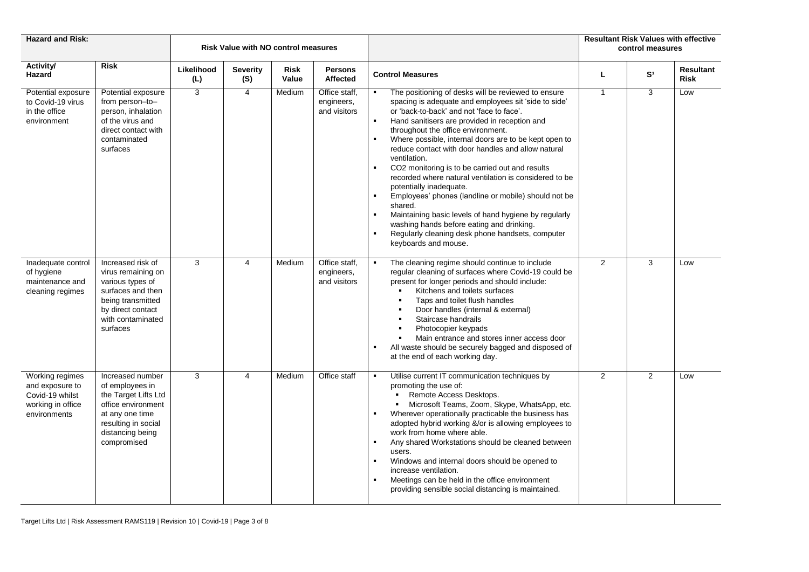| <b>Hazard and Risk:</b>                                                                    |                                                                                                                                                                |                   | <b>Risk Value with NO control measures</b> |                      |                                             |                                                                                                                                                                                                                                                                                                                                                                                                                                                                                                                                                                                                                                                                                                                                                                                               | <b>Resultant Risk Values with effective</b><br>control measures |                |                          |  |
|--------------------------------------------------------------------------------------------|----------------------------------------------------------------------------------------------------------------------------------------------------------------|-------------------|--------------------------------------------|----------------------|---------------------------------------------|-----------------------------------------------------------------------------------------------------------------------------------------------------------------------------------------------------------------------------------------------------------------------------------------------------------------------------------------------------------------------------------------------------------------------------------------------------------------------------------------------------------------------------------------------------------------------------------------------------------------------------------------------------------------------------------------------------------------------------------------------------------------------------------------------|-----------------------------------------------------------------|----------------|--------------------------|--|
| Activity/<br>Hazard                                                                        | <b>Risk</b>                                                                                                                                                    | Likelihood<br>(L) | <b>Severity</b><br>(S)                     | <b>Risk</b><br>Value | <b>Persons</b><br><b>Affected</b>           | <b>Control Measures</b>                                                                                                                                                                                                                                                                                                                                                                                                                                                                                                                                                                                                                                                                                                                                                                       | L                                                               | S <sup>1</sup> | Resultant<br><b>Risk</b> |  |
| Potential exposure<br>to Covid-19 virus<br>in the office<br>environment                    | Potential exposure<br>from person-to-<br>person, inhalation<br>of the virus and<br>direct contact with<br>contaminated<br>surfaces                             | 3                 | $\overline{4}$                             | Medium               | Office staff,<br>engineers,<br>and visitors | The positioning of desks will be reviewed to ensure<br>spacing is adequate and employees sit 'side to side'<br>or 'back-to-back' and not 'face to face'.<br>$\blacksquare$<br>Hand sanitisers are provided in reception and<br>throughout the office environment.<br>Where possible, internal doors are to be kept open to<br>reduce contact with door handles and allow natural<br>ventilation.<br>CO2 monitoring is to be carried out and results<br>recorded where natural ventilation is considered to be<br>potentially inadequate.<br>Employees' phones (landline or mobile) should not be<br>shared.<br>Maintaining basic levels of hand hygiene by regularly<br>washing hands before eating and drinking.<br>Regularly cleaning desk phone handsets, computer<br>keyboards and mouse. | $\mathbf{1}$                                                    | 3              | Low                      |  |
| Inadequate control<br>of hygiene<br>maintenance and<br>cleaning regimes                    | Increased risk of<br>virus remaining on<br>various types of<br>surfaces and then<br>being transmitted<br>by direct contact<br>with contaminated<br>surfaces    | 3                 | $\overline{4}$                             | Medium               | Office staff,<br>engineers,<br>and visitors | The cleaning regime should continue to include<br>$\blacksquare$<br>regular cleaning of surfaces where Covid-19 could be<br>present for longer periods and should include:<br>Kitchens and toilets surfaces<br>$\blacksquare$<br>Taps and toilet flush handles<br>$\blacksquare$<br>Door handles (internal & external)<br>$\blacksquare$<br>$\blacksquare$<br>Staircase handrails<br>Photocopier keypads<br>$\blacksquare$<br>Main entrance and stores inner access door<br>$\blacksquare$<br>All waste should be securely bagged and disposed of<br>at the end of each working day.                                                                                                                                                                                                          | $\overline{2}$                                                  | 3              | Low                      |  |
| Working regimes<br>and exposure to<br>Covid-19 whilst<br>working in office<br>environments | Increased number<br>of employees in<br>the Target Lifts Ltd<br>office environment<br>at any one time<br>resulting in social<br>distancing being<br>compromised | 3                 | 4                                          | Medium               | Office staff                                | Utilise current IT communication techniques by<br>promoting the use of:<br>Remote Access Desktops.<br>Microsoft Teams, Zoom, Skype, WhatsApp, etc.<br>Wherever operationally practicable the business has<br>adopted hybrid working &/or is allowing employees to<br>work from home where able.<br>Any shared Workstations should be cleaned between<br>$\blacksquare$<br>users.<br>Windows and internal doors should be opened to<br>$\blacksquare$<br>increase ventilation.<br>Meetings can be held in the office environment<br>providing sensible social distancing is maintained.                                                                                                                                                                                                        | $\overline{2}$                                                  | $\overline{2}$ | Low                      |  |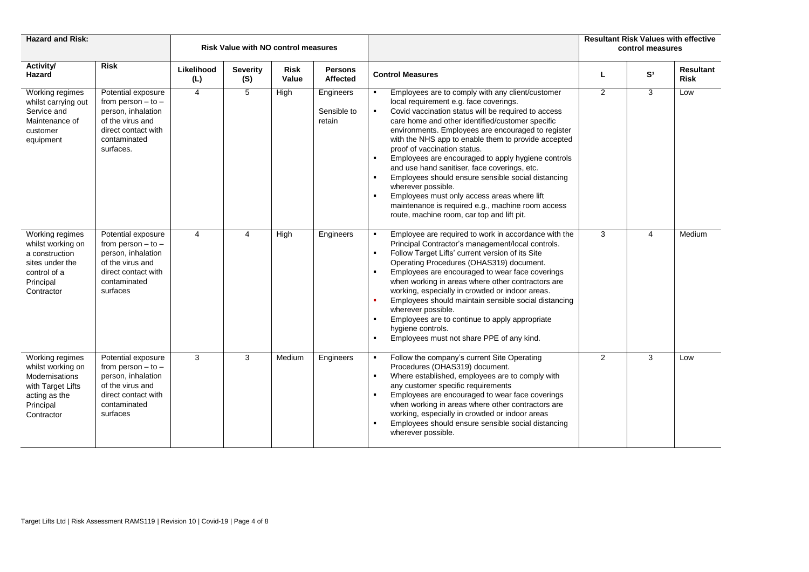| <b>Hazard and Risk:</b>                                                                                                 |                                                                                                                                            |                   | <b>Risk Value with NO control measures</b> |                      |                                    |                                                                                                                                                                                                                                                                                                                                                                                                                                                                                                                                                                                                                                                                                                                            | <b>Resultant Risk Values with effective</b><br>control measures |                |                                 |  |
|-------------------------------------------------------------------------------------------------------------------------|--------------------------------------------------------------------------------------------------------------------------------------------|-------------------|--------------------------------------------|----------------------|------------------------------------|----------------------------------------------------------------------------------------------------------------------------------------------------------------------------------------------------------------------------------------------------------------------------------------------------------------------------------------------------------------------------------------------------------------------------------------------------------------------------------------------------------------------------------------------------------------------------------------------------------------------------------------------------------------------------------------------------------------------------|-----------------------------------------------------------------|----------------|---------------------------------|--|
| Activity/<br><b>Hazard</b>                                                                                              | <b>Risk</b>                                                                                                                                | Likelihood<br>(L) | <b>Severity</b><br>(S)                     | <b>Risk</b><br>Value | <b>Persons</b><br>Affected         | <b>Control Measures</b>                                                                                                                                                                                                                                                                                                                                                                                                                                                                                                                                                                                                                                                                                                    |                                                                 | S <sup>1</sup> | <b>Resultant</b><br><b>Risk</b> |  |
| Working regimes<br>whilst carrying out<br>Service and<br>Maintenance of<br>customer<br>equipment                        | Potential exposure<br>from person $-$ to $-$<br>person, inhalation<br>of the virus and<br>direct contact with<br>contaminated<br>surfaces. | 4                 | 5                                          | High                 | Engineers<br>Sensible to<br>retain | Employees are to comply with any client/customer<br>local requirement e.g. face coverings.<br>Covid vaccination status will be required to access<br>$\blacksquare$<br>care home and other identified/customer specific<br>environments. Employees are encouraged to register<br>with the NHS app to enable them to provide accepted<br>proof of vaccination status.<br>Employees are encouraged to apply hygiene controls<br>and use hand sanitiser, face coverings, etc.<br>Employees should ensure sensible social distancing<br>wherever possible.<br>Employees must only access areas where lift<br>$\blacksquare$<br>maintenance is required e.g., machine room access<br>route, machine room, car top and lift pit. | $\overline{2}$                                                  | 3              | Low                             |  |
| Working regimes<br>whilst working on<br>a construction<br>sites under the<br>control of a<br>Principal<br>Contractor    | Potential exposure<br>from person $-$ to $-$<br>person, inhalation<br>of the virus and<br>direct contact with<br>contaminated<br>surfaces  | 4                 | 4                                          | High                 | Engineers                          | Employee are required to work in accordance with the<br>Principal Contractor's management/local controls.<br>Follow Target Lifts' current version of its Site<br>$\blacksquare$<br>Operating Procedures (OHAS319) document.<br>Employees are encouraged to wear face coverings<br>when working in areas where other contractors are<br>working, especially in crowded or indoor areas.<br>Employees should maintain sensible social distancing<br>wherever possible.<br>Employees are to continue to apply appropriate<br>hygiene controls.<br>Employees must not share PPE of any kind.<br>$\blacksquare$                                                                                                                 | 3                                                               | 4              | Medium                          |  |
| Working regimes<br>whilst working on<br>Modernisations<br>with Target Lifts<br>acting as the<br>Principal<br>Contractor | Potential exposure<br>from person $-$ to $-$<br>person, inhalation<br>of the virus and<br>direct contact with<br>contaminated<br>surfaces  | 3                 | 3                                          | Medium               | Engineers                          | Follow the company's current Site Operating<br>$\blacksquare$<br>Procedures (OHAS319) document.<br>Where established, employees are to comply with<br>$\blacksquare$<br>any customer specific requirements<br>Employees are encouraged to wear face coverings<br>when working in areas where other contractors are<br>working, especially in crowded or indoor areas<br>Employees should ensure sensible social distancing<br>wherever possible.                                                                                                                                                                                                                                                                           | 2                                                               | 3              | Low                             |  |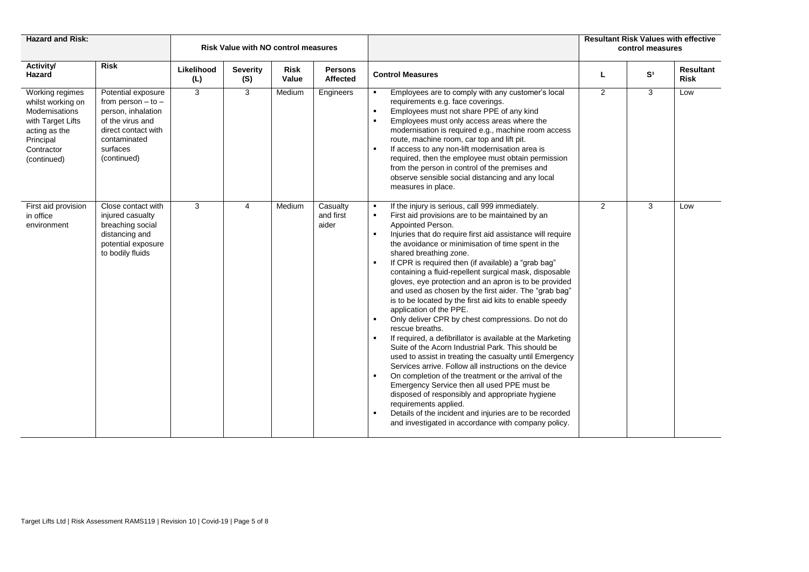| <b>Hazard and Risk:</b>                                                                                                                |                                                                                                                                                          |                   | <b>Risk Value with NO control measures</b> |               |                                   | <b>Resultant Risk Values with effective</b><br>control measures                                                                                                                                                                                                                                                                                                                                                                                                                                                                                                                                                                                                                                                                                                                                                                                                                                                                                                                                                                                                                                                                                                                                                                        |                |                |                                 |
|----------------------------------------------------------------------------------------------------------------------------------------|----------------------------------------------------------------------------------------------------------------------------------------------------------|-------------------|--------------------------------------------|---------------|-----------------------------------|----------------------------------------------------------------------------------------------------------------------------------------------------------------------------------------------------------------------------------------------------------------------------------------------------------------------------------------------------------------------------------------------------------------------------------------------------------------------------------------------------------------------------------------------------------------------------------------------------------------------------------------------------------------------------------------------------------------------------------------------------------------------------------------------------------------------------------------------------------------------------------------------------------------------------------------------------------------------------------------------------------------------------------------------------------------------------------------------------------------------------------------------------------------------------------------------------------------------------------------|----------------|----------------|---------------------------------|
| <b>Activity/</b><br>Hazard                                                                                                             | <b>Risk</b>                                                                                                                                              | Likelihood<br>(L) | <b>Severity</b><br>(S)                     | Risk<br>Value | <b>Persons</b><br><b>Affected</b> | <b>Control Measures</b>                                                                                                                                                                                                                                                                                                                                                                                                                                                                                                                                                                                                                                                                                                                                                                                                                                                                                                                                                                                                                                                                                                                                                                                                                | L              | S <sup>1</sup> | <b>Resultant</b><br><b>Risk</b> |
| Working regimes<br>whilst working on<br>Modernisations<br>with Target Lifts<br>acting as the<br>Principal<br>Contractor<br>(continued) | Potential exposure<br>from person $-$ to $-$<br>person, inhalation<br>of the virus and<br>direct contact with<br>contaminated<br>surfaces<br>(continued) | 3                 | 3                                          | Medium        | Engineers                         | Employees are to comply with any customer's local<br>requirements e.g. face coverings.<br>Employees must not share PPE of any kind<br>$\blacksquare$<br>$\blacksquare$<br>Employees must only access areas where the<br>modernisation is required e.g., machine room access<br>route, machine room, car top and lift pit.<br>If access to any non-lift modernisation area is<br>required, then the employee must obtain permission<br>from the person in control of the premises and<br>observe sensible social distancing and any local<br>measures in place.                                                                                                                                                                                                                                                                                                                                                                                                                                                                                                                                                                                                                                                                         | $\overline{2}$ | 3              | Low                             |
| First aid provision<br>in office<br>environment                                                                                        | Close contact with<br>injured casualty<br>breaching social<br>distancing and<br>potential exposure<br>to bodily fluids                                   | 3                 | 4                                          | Medium        | Casualty<br>and first<br>aider    | If the injury is serious, call 999 immediately.<br>$\blacksquare$<br>First aid provisions are to be maintained by an<br>Appointed Person.<br>Injuries that do require first aid assistance will require<br>the avoidance or minimisation of time spent in the<br>shared breathing zone.<br>If CPR is required then (if available) a "grab bag"<br>containing a fluid-repellent surgical mask, disposable<br>gloves, eye protection and an apron is to be provided<br>and used as chosen by the first aider. The "grab bag"<br>is to be located by the first aid kits to enable speedy<br>application of the PPE.<br>Only deliver CPR by chest compressions. Do not do<br>rescue breaths.<br>If required, a defibrillator is available at the Marketing<br>Suite of the Acorn Industrial Park. This should be<br>used to assist in treating the casualty until Emergency<br>Services arrive. Follow all instructions on the device<br>On completion of the treatment or the arrival of the<br>Emergency Service then all used PPE must be<br>disposed of responsibly and appropriate hygiene<br>requirements applied.<br>Details of the incident and injuries are to be recorded<br>and investigated in accordance with company policy. | $\overline{2}$ | 3              | Low                             |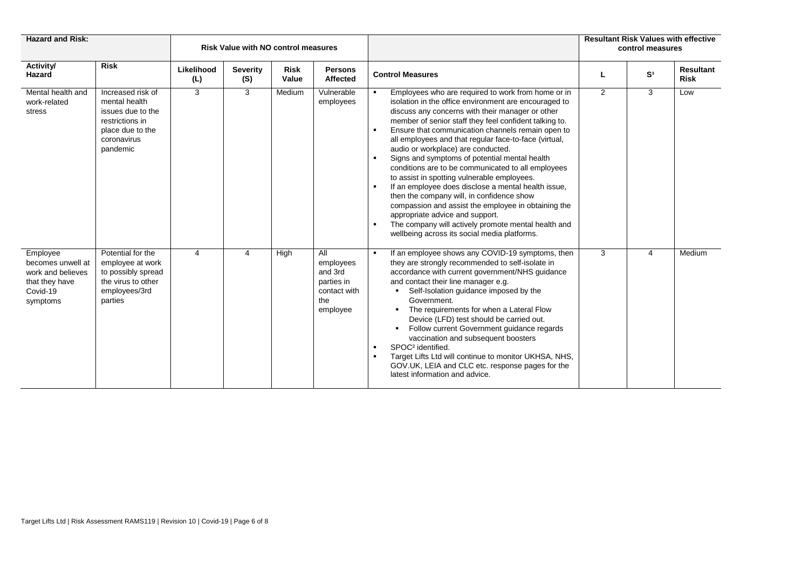| <b>Hazard and Risk:</b>                                                                      |                                                                                                                           |                   | <b>Risk Value with NO control measures</b> |               |                                                                              |                                                                                                                                                                                                                                                                                                                                                                                                                                                                                                                                                                                                                                                                                                                                                                                                                                                                                                | <b>Resultant Risk Values with effective</b><br>control measures |                |                          |  |
|----------------------------------------------------------------------------------------------|---------------------------------------------------------------------------------------------------------------------------|-------------------|--------------------------------------------|---------------|------------------------------------------------------------------------------|------------------------------------------------------------------------------------------------------------------------------------------------------------------------------------------------------------------------------------------------------------------------------------------------------------------------------------------------------------------------------------------------------------------------------------------------------------------------------------------------------------------------------------------------------------------------------------------------------------------------------------------------------------------------------------------------------------------------------------------------------------------------------------------------------------------------------------------------------------------------------------------------|-----------------------------------------------------------------|----------------|--------------------------|--|
| Activity/<br>Hazard                                                                          | <b>Risk</b>                                                                                                               | Likelihood<br>(L) | <b>Severity</b><br>(S)                     | Risk<br>Value | <b>Persons</b><br><b>Affected</b>                                            | <b>Control Measures</b>                                                                                                                                                                                                                                                                                                                                                                                                                                                                                                                                                                                                                                                                                                                                                                                                                                                                        |                                                                 | S <sup>1</sup> | Resultant<br><b>Risk</b> |  |
| Mental health and<br>work-related<br>stress                                                  | Increased risk of<br>mental health<br>issues due to the<br>restrictions in<br>place due to the<br>coronavirus<br>pandemic | 3                 | 3                                          | Medium        | Vulnerable<br>employees                                                      | Employees who are required to work from home or in<br>isolation in the office environment are encouraged to<br>discuss any concerns with their manager or other<br>member of senior staff they feel confident talking to.<br>Ensure that communication channels remain open to<br>all employees and that regular face-to-face (virtual,<br>audio or workplace) are conducted.<br>Signs and symptoms of potential mental health<br>$\blacksquare$<br>conditions are to be communicated to all employees<br>to assist in spotting vulnerable employees.<br>If an employee does disclose a mental health issue,<br>$\blacksquare$<br>then the company will, in confidence show<br>compassion and assist the employee in obtaining the<br>appropriate advice and support.<br>The company will actively promote mental health and<br>$\blacksquare$<br>wellbeing across its social media platforms. | $\overline{2}$                                                  | 3              | Low                      |  |
| Employee<br>becomes unwell at<br>work and believes<br>that they have<br>Covid-19<br>symptoms | Potential for the<br>employee at work<br>to possibly spread<br>the virus to other<br>employees/3rd<br>parties             | 4                 | 4                                          | High          | All<br>employees<br>and 3rd<br>parties in<br>contact with<br>the<br>employee | If an employee shows any COVID-19 symptoms, then<br>$\blacksquare$<br>they are strongly recommended to self-isolate in<br>accordance with current government/NHS guidance<br>and contact their line manager e.g.<br>Self-Isolation guidance imposed by the<br>$\blacksquare$<br>Government.<br>The requirements for when a Lateral Flow<br>$\blacksquare$<br>Device (LFD) test should be carried out.<br>Follow current Government guidance regards<br>vaccination and subsequent boosters<br>SPOC <sup>2</sup> identified.<br>$\blacksquare$<br>Target Lifts Ltd will continue to monitor UKHSA, NHS,<br>GOV.UK, LEIA and CLC etc. response pages for the<br>latest information and advice.                                                                                                                                                                                                   | 3                                                               | 4              | Medium                   |  |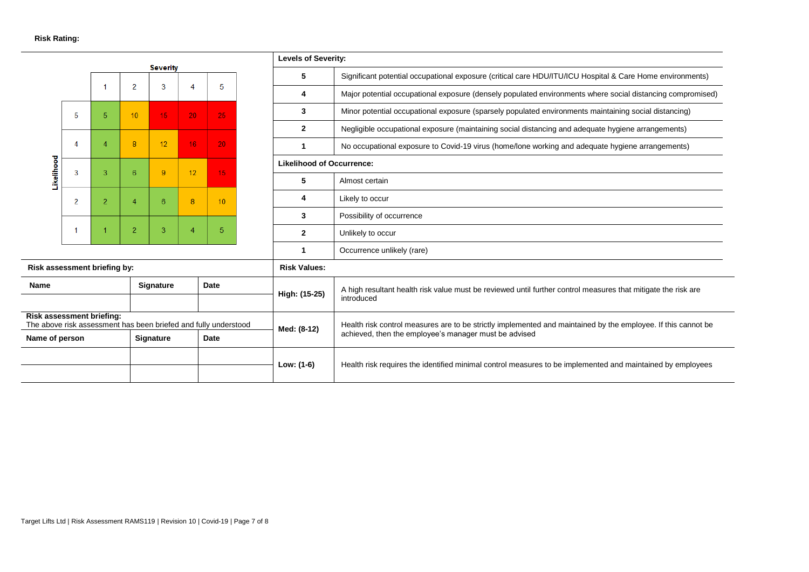| <b>Severity</b>                                                                              |                                            |                |                                                                                                               |                                                                                                            |                                                       |                 | <b>Levels of Severity:</b> |                                  |                                                                                                               |  |  |  |
|----------------------------------------------------------------------------------------------|--------------------------------------------|----------------|---------------------------------------------------------------------------------------------------------------|------------------------------------------------------------------------------------------------------------|-------------------------------------------------------|-----------------|----------------------------|----------------------------------|---------------------------------------------------------------------------------------------------------------|--|--|--|
|                                                                                              |                                            |                |                                                                                                               |                                                                                                            |                                                       |                 |                            | 5                                | Significant potential occupational exposure (critical care HDU/ITU/ICU Hospital & Care Home environments)     |  |  |  |
|                                                                                              |                                            |                | $\overline{2}$                                                                                                | 3                                                                                                          |                                                       | 5               |                            | 4                                | Major potential occupational exposure (densely populated environments where social distancing compromised)    |  |  |  |
|                                                                                              | -5                                         | 5              | 10                                                                                                            | 15 <sub>1</sub>                                                                                            | 20 <sub>1</sub>                                       | 25 <sub>1</sub> |                            | 3                                | Minor potential occupational exposure (sparsely populated environments maintaining social distancing)         |  |  |  |
|                                                                                              |                                            |                |                                                                                                               |                                                                                                            |                                                       |                 |                            | $\mathbf{2}$                     | Negligible occupational exposure (maintaining social distancing and adequate hygiene arrangements)            |  |  |  |
|                                                                                              | 4                                          |                | $\mathsf{R}$                                                                                                  | 12 <sup>2</sup>                                                                                            | 16 <sup>°</sup>                                       | 20 <sub>1</sub> |                            | $\mathbf 1$                      | No occupational exposure to Covid-19 virus (home/lone working and adequate hygiene arrangements)              |  |  |  |
| Likelihood                                                                                   | 3                                          | 3              | в                                                                                                             | 9                                                                                                          | 12                                                    | 15              |                            | <b>Likelihood of Occurrence:</b> |                                                                                                               |  |  |  |
|                                                                                              |                                            |                |                                                                                                               |                                                                                                            |                                                       |                 |                            | 5                                | Almost certain                                                                                                |  |  |  |
|                                                                                              | $\overline{2}$                             | $\overline{2}$ |                                                                                                               | 6                                                                                                          | 8                                                     | 10 <sup>°</sup> |                            | 4                                | Likely to occur                                                                                               |  |  |  |
|                                                                                              |                                            |                |                                                                                                               |                                                                                                            |                                                       |                 |                            | 3                                | Possibility of occurrence                                                                                     |  |  |  |
|                                                                                              |                                            |                | $\overline{\phantom{a}}$                                                                                      | 3                                                                                                          |                                                       | 5               |                            | $\mathbf{2}$                     | Unlikely to occur                                                                                             |  |  |  |
|                                                                                              |                                            |                |                                                                                                               |                                                                                                            |                                                       |                 |                            | 1                                | Occurrence unlikely (rare)                                                                                    |  |  |  |
| Risk assessment briefing by:                                                                 |                                            |                |                                                                                                               |                                                                                                            |                                                       |                 |                            | <b>Risk Values:</b>              |                                                                                                               |  |  |  |
| Name                                                                                         |                                            |                |                                                                                                               | <b>Signature</b>                                                                                           |                                                       | Date            |                            | High: (15-25)                    | A high resultant health risk value must be reviewed until further control measures that mitigate the risk are |  |  |  |
|                                                                                              |                                            |                |                                                                                                               |                                                                                                            |                                                       |                 |                            |                                  | introduced                                                                                                    |  |  |  |
| Risk assessment briefing:<br>The above risk assessment has been briefed and fully understood |                                            | Med: (8-12)    | Health risk control measures are to be strictly implemented and maintained by the employee. If this cannot be |                                                                                                            |                                                       |                 |                            |                                  |                                                                                                               |  |  |  |
|                                                                                              | Name of person<br><b>Signature</b><br>Date |                |                                                                                                               |                                                                                                            | achieved, then the employee's manager must be advised |                 |                            |                                  |                                                                                                               |  |  |  |
|                                                                                              |                                            |                | Low: (1-6)                                                                                                    | Health risk requires the identified minimal control measures to be implemented and maintained by employees |                                                       |                 |                            |                                  |                                                                                                               |  |  |  |